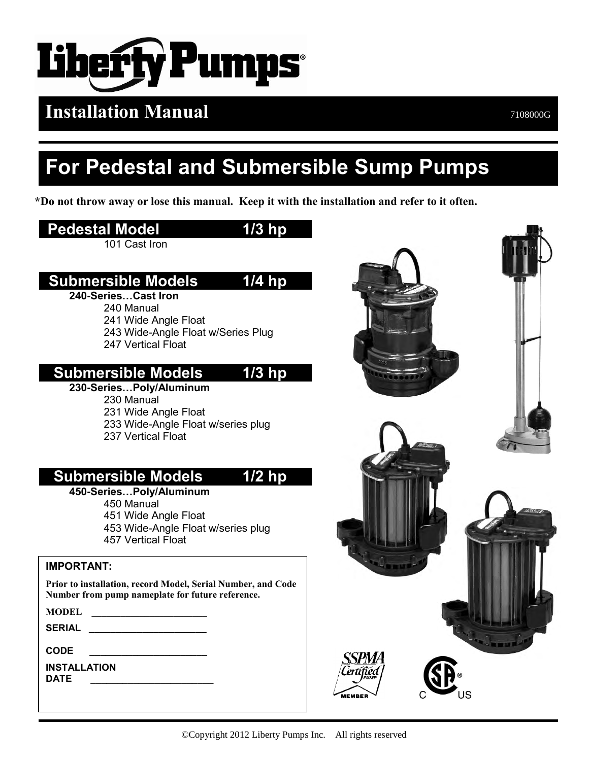

## **Installation Manual** <br>7108000G

## **For Pedestal and Submersible Sump Pumps**

**\*Do not throw away or lose this manual. Keep it with the installation and refer to it often.**

### **Pedestal Model 1/3 hp**

101 Cast Iron

### **Submersible Models 1/4 hp**

#### **240-Series…Cast Iron**

240 Manual 241 Wide Angle Float 243 Wide-Angle Float w/Series Plug 247 Vertical Float

### **Submersible Models 1/3 hp**

#### **230-Series…Poly/Aluminum**  230 Manual 231 Wide Angle Float

233 Wide-Angle Float w/series plug

237 Vertical Float

### **Submersible Models 1/2 hp**

#### **450-Series…Poly/Aluminum**

450 Manual 451 Wide Angle Float 453 Wide-Angle Float w/series plug 457 Vertical Float

**IMPORTANT:**

**Prior to installation, record Model, Serial Number, and Code Number from pump nameplate for future reference.**

**SERIAL \_\_\_\_\_\_\_\_\_\_\_\_\_\_\_\_\_\_\_\_\_\_**

**CODE \_\_\_\_\_\_\_\_\_\_\_\_\_\_\_\_\_\_\_\_\_\_**

**INSTALLATION DATE \_\_\_\_\_\_\_\_\_\_\_\_\_\_\_\_\_\_\_\_\_\_\_**

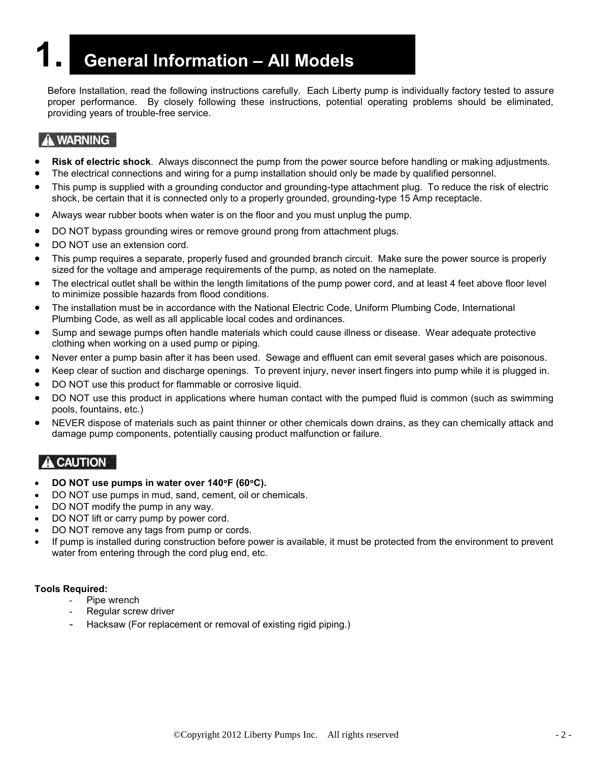## **1. General Information – All Models**

Before Installation, read the following instructions carefully. Each Liberty pump is individually factory tested to assure proper performance. By closely following these instructions, potential operating problems should be eliminated, providing years of trouble-free service.

#### A WARNING

- **Risk of electric shock**. Always disconnect the pump from the power source before handling or making adjustments.
- The electrical connections and wiring for a pump installation should only be made by qualified personnel.
- This pump is supplied with a grounding conductor and grounding-type attachment plug. To reduce the risk of electric shock, be certain that it is connected only to a properly grounded, grounding-type 15 Amp receptacle.
- Always wear rubber boots when water is on the floor and you must unplug the pump.
- DO NOT bypass grounding wires or remove ground prong from attachment plugs.
- DO NOT use an extension cord.
- This pump requires a separate, properly fused and grounded branch circuit. Make sure the power source is properly sized for the voltage and amperage requirements of the pump, as noted on the nameplate.
- The electrical outlet shall be within the length limitations of the pump power cord, and at least 4 feet above floor level to minimize possible hazards from flood conditions.
- The installation must be in accordance with the National Electric Code, Uniform Plumbing Code, International Plumbing Code, as well as all applicable local codes and ordinances.
- Sump and sewage pumps often handle materials which could cause illness or disease. Wear adequate protective clothing when working on a used pump or piping.
- Never enter a pump basin after it has been used. Sewage and effluent can emit several gases which are poisonous.
- Keep clear of suction and discharge openings. To prevent injury, never insert fingers into pump while it is plugged in.
- DO NOT use this product for flammable or corrosive liquid.
- DO NOT use this product in applications where human contact with the pumped fluid is common (such as swimming pools, fountains, etc.)
- NEVER dispose of materials such as paint thinner or other chemicals down drains, as they can chemically attack and damage pump components, potentially causing product malfunction or failure.

#### **A** CAUTION

- **DO NOT use pumps in water over 140F (60C).**
- DO NOT use pumps in mud, sand, cement, oil or chemicals.
- DO NOT modify the pump in any way.
- DO NOT lift or carry pump by power cord.
- DO NOT remove any tags from pump or cords.
- If pump is installed during construction before power is available, it must be protected from the environment to prevent water from entering through the cord plug end, etc.

#### **Tools Required:**

- Pipe wrench
- Regular screw driver
- Hacksaw (For replacement or removal of existing rigid piping.)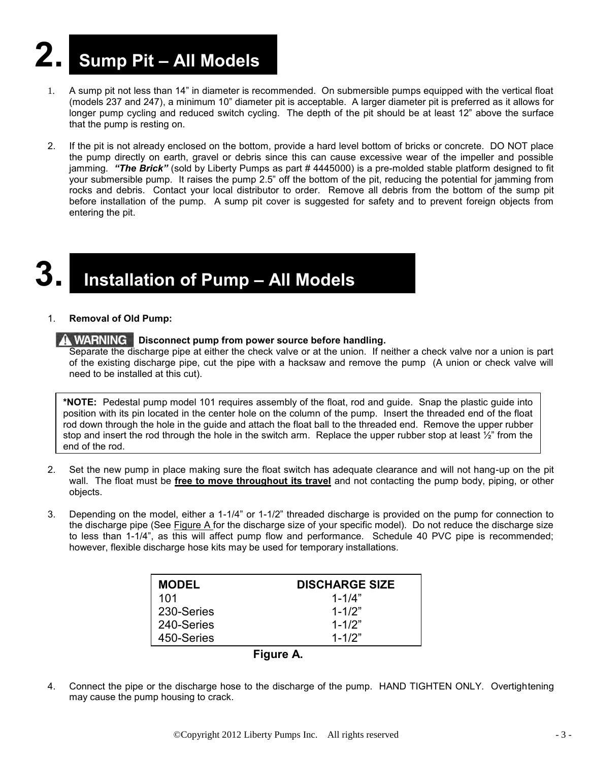# **2. Sump Pit – All Models**

- 1. A sump pit not less than 14" in diameter is recommended. On submersible pumps equipped with the vertical float (models 237 and 247), a minimum 10" diameter pit is acceptable. A larger diameter pit is preferred as it allows for longer pump cycling and reduced switch cycling. The depth of the pit should be at least 12" above the surface that the pump is resting on.
- 2. If the pit is not already enclosed on the bottom, provide a hard level bottom of bricks or concrete. DO NOT place the pump directly on earth, gravel or debris since this can cause excessive wear of the impeller and possible jamming. "The Brick" (sold by Liberty Pumps as part # 4445000) is a pre-molded stable platform designed to fit your submersible pump. It raises the pump 2.5" off the bottom of the pit, reducing the potential for jamming from rocks and debris. Contact your local distributor to order. Remove all debris from the bottom of the sump pit before installation of the pump. A sump pit cover is suggested for safety and to prevent foreign objects from entering the pit.

## **3. Installation of Pump – All Models**

#### 1. **Removal of Old Pump:**

#### **A WARNING** Disconnect pump from power source before handling.

Separate the discharge pipe at either the check valve or at the union. If neither a check valve nor a union is part of the existing discharge pipe, cut the pipe with a hacksaw and remove the pump (A union or check valve will need to be installed at this cut).

**\*NOTE:** Pedestal pump model 101 requires assembly of the float, rod and guide. Snap the plastic guide into position with its pin located in the center hole on the column of the pump. Insert the threaded end of the float rod down through the hole in the guide and attach the float ball to the threaded end. Remove the upper rubber stop and insert the rod through the hole in the switch arm. Replace the upper rubber stop at least  $\frac{1}{2}$ " from the end of the rod.

- 2. Set the new pump in place making sure the float switch has adequate clearance and will not hang-up on the pit wall. The float must be **free to move throughout its travel** and not contacting the pump body, piping, or other objects.
- 3. Depending on the model, either a 1-1/4" or 1-1/2" threaded discharge is provided on the pump for connection to the discharge pipe (See Figure A for the discharge size of your specific model). Do not reduce the discharge size to less than 1-1/4", as this will affect pump flow and performance. Schedule 40 PVC pipe is recommended; however, flexible discharge hose kits may be used for temporary installations.

| <b>MODEL</b> | <b>DISCHARGE SIZE</b> |
|--------------|-----------------------|
| 101          | $1 - 1/4"$            |
| 230-Series   | $1 - 1/2"$            |
| 240-Series   | $1 - 1/2"$            |
| 450-Series   | $1 - 1/2"$            |



4. Connect the pipe or the discharge hose to the discharge of the pump. HAND TIGHTEN ONLY. Overtightening may cause the pump housing to crack.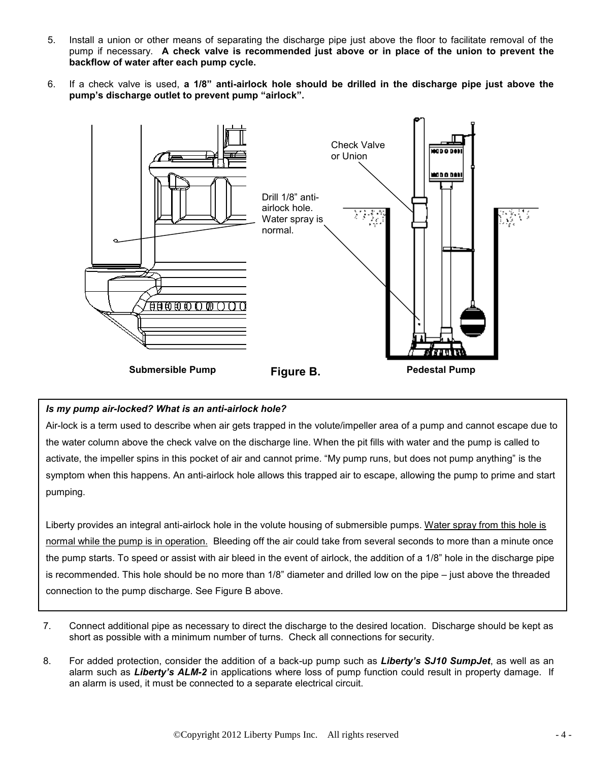- 5. Install a union or other means of separating the discharge pipe just above the floor to facilitate removal of the pump if necessary. **A check valve is recommended just above or in place of the union to prevent the backflow of water after each pump cycle.**
- 6. If a check valve is used, **a 1/8" anti-airlock hole should be drilled in the discharge pipe just above the pump's discharge outlet to prevent pump "airlock".**



#### *Is my pump air-locked? What is an anti-airlock hole?*

Air-lock is a term used to describe when air gets trapped in the volute/impeller area of a pump and cannot escape due to the water column above the check valve on the discharge line. When the pit fills with water and the pump is called to activate, the impeller spins in this pocket of air and cannot prime. "My pump runs, but does not pump anything" is the symptom when this happens. An anti-airlock hole allows this trapped air to escape, allowing the pump to prime and start pumping.

Liberty provides an integral anti-airlock hole in the volute housing of submersible pumps. Water spray from this hole is normal while the pump is in operation. Bleeding off the air could take from several seconds to more than a minute once the pump starts. To speed or assist with air bleed in the event of airlock, the addition of a 1/8" hole in the discharge pipe is recommended. This hole should be no more than 1/8" diameter and drilled low on the pipe – just above the threaded connection to the pump discharge. See Figure B above.

- 7. Connect additional pipe as necessary to direct the discharge to the desired location. Discharge should be kept as short as possible with a minimum number of turns. Check all connections for security.
- 8. For added protection, consider the addition of a back-up pump such as *Liberty's SJ10 SumpJet*, as well as an alarm such as *Liberty's ALM-2* in applications where loss of pump function could result in property damage. If an alarm is used, it must be connected to a separate electrical circuit.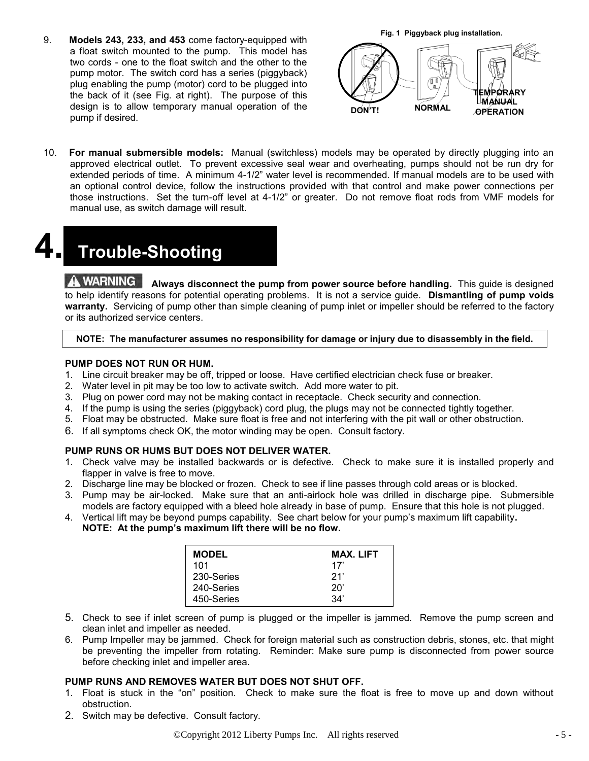9. **Models 243, 233, and 453** come factory-equipped with a float switch mounted to the pump. This model has two cords - one to the float switch and the other to the pump motor. The switch cord has a series (piggyback) plug enabling the pump (motor) cord to be plugged into the back of it (see Fig. at right). The purpose of this design is to allow temporary manual operation of the pump if desired.



10. **For manual submersible models:** Manual (switchless) models may be operated by directly plugging into an approved electrical outlet. To prevent excessive seal wear and overheating, pumps should not be run dry for extended periods of time. A minimum 4-1/2" water level is recommended. If manual models are to be used with an optional control device, follow the instructions provided with that control and make power connections per those instructions. Set the turn-off level at 4-1/2" or greater. Do not remove float rods from VMF models for manual use, as switch damage will result.

## **4. Trouble-Shooting**

**A WARNING** Always disconnect the pump from power source before handling. This guide is designed to help identify reasons for potential operating problems. It is not a service guide. **Dismantling of pump voids warranty.** Servicing of pump other than simple cleaning of pump inlet or impeller should be referred to the factory or its authorized service centers.

#### **NOTE: The manufacturer assumes no responsibility for damage or injury due to disassembly in the field.**

#### **PUMP DOES NOT RUN OR HUM.**

- 1. Line circuit breaker may be off, tripped or loose. Have certified electrician check fuse or breaker.
- 2. Water level in pit may be too low to activate switch. Add more water to pit.
- 3. Plug on power cord may not be making contact in receptacle. Check security and connection.
- 4. If the pump is using the series (piggyback) cord plug, the plugs may not be connected tightly together.
- 5. Float may be obstructed. Make sure float is free and not interfering with the pit wall or other obstruction.
- 6. If all symptoms check OK, the motor winding may be open. Consult factory.

#### **PUMP RUNS OR HUMS BUT DOES NOT DELIVER WATER.**

- 1. Check valve may be installed backwards or is defective. Check to make sure it is installed properly and flapper in valve is free to move.
- 2. Discharge line may be blocked or frozen. Check to see if line passes through cold areas or is blocked.
- 3. Pump may be air-locked. Make sure that an anti-airlock hole was drilled in discharge pipe. Submersible models are factory equipped with a bleed hole already in base of pump. Ensure that this hole is not plugged.
- 4. Vertical lift may be beyond pumps capability. See chart below for your pump's maximum lift capability**. NOTE: At the pump's maximum lift there will be no flow.**

| <b>MODEL</b> | <b>MAX. LIFT</b> |
|--------------|------------------|
| 101          | 17'              |
| 230-Series   | 21'              |
| 240-Series   | $20^{\circ}$     |
| 450-Series   | 34'              |

- 5. Check to see if inlet screen of pump is plugged or the impeller is jammed. Remove the pump screen and clean inlet and impeller as needed.
- 6. Pump Impeller may be jammed. Check for foreign material such as construction debris, stones, etc. that might be preventing the impeller from rotating. Reminder: Make sure pump is disconnected from power source before checking inlet and impeller area.

#### **PUMP RUNS AND REMOVES WATER BUT DOES NOT SHUT OFF.**

- 1. Float is stuck in the "on" position. Check to make sure the float is free to move up and down without obstruction.
- 2. Switch may be defective. Consult factory.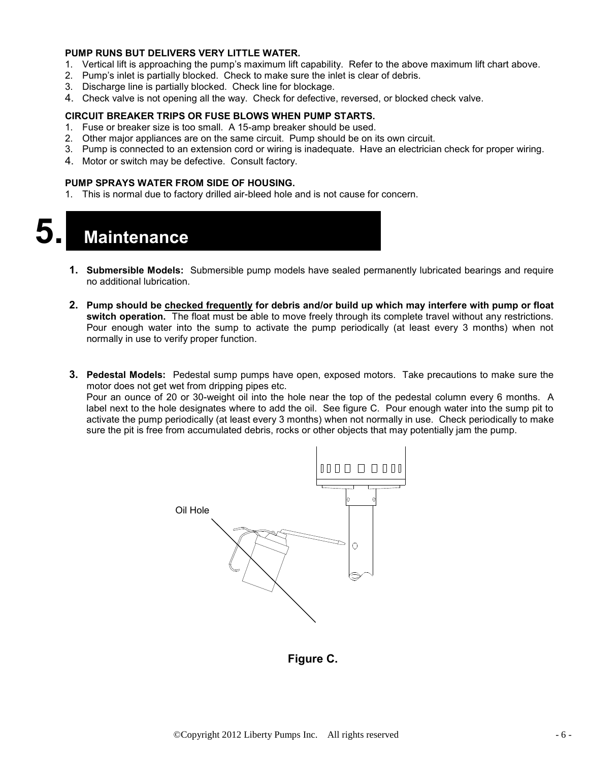#### **PUMP RUNS BUT DELIVERS VERY LITTLE WATER.**

- 1. Vertical lift is approaching the pump's maximum lift capability. Refer to the above maximum lift chart above.
- 2. Pump's inlet is partially blocked. Check to make sure the inlet is clear of debris.
- 3. Discharge line is partially blocked. Check line for blockage.
- 4. Check valve is not opening all the way. Check for defective, reversed, or blocked check valve.

#### **CIRCUIT BREAKER TRIPS OR FUSE BLOWS WHEN PUMP STARTS.**

- 1. Fuse or breaker size is too small. A 15-amp breaker should be used.
- 2. Other major appliances are on the same circuit. Pump should be on its own circuit.
- 3. Pump is connected to an extension cord or wiring is inadequate. Have an electrician check for proper wiring.
- 4. Motor or switch may be defective. Consult factory.

#### **PUMP SPRAYS WATER FROM SIDE OF HOUSING.**

1. This is normal due to factory drilled air-bleed hole and is not cause for concern.



- **1. Submersible Models:** Submersible pump models have sealed permanently lubricated bearings and require no additional lubrication.
- **2. Pump should be checked frequently for debris and/or build up which may interfere with pump or float switch operation.** The float must be able to move freely through its complete travel without any restrictions. Pour enough water into the sump to activate the pump periodically (at least every 3 months) when not normally in use to verify proper function.
- **3. Pedestal Models:** Pedestal sump pumps have open, exposed motors. Take precautions to make sure the motor does not get wet from dripping pipes etc.

Pour an ounce of 20 or 30-weight oil into the hole near the top of the pedestal column every 6 months. A label next to the hole designates where to add the oil. See figure C. Pour enough water into the sump pit to activate the pump periodically (at least every 3 months) when not normally in use. Check periodically to make sure the pit is free from accumulated debris, rocks or other objects that may potentially jam the pump.



**Figure C.**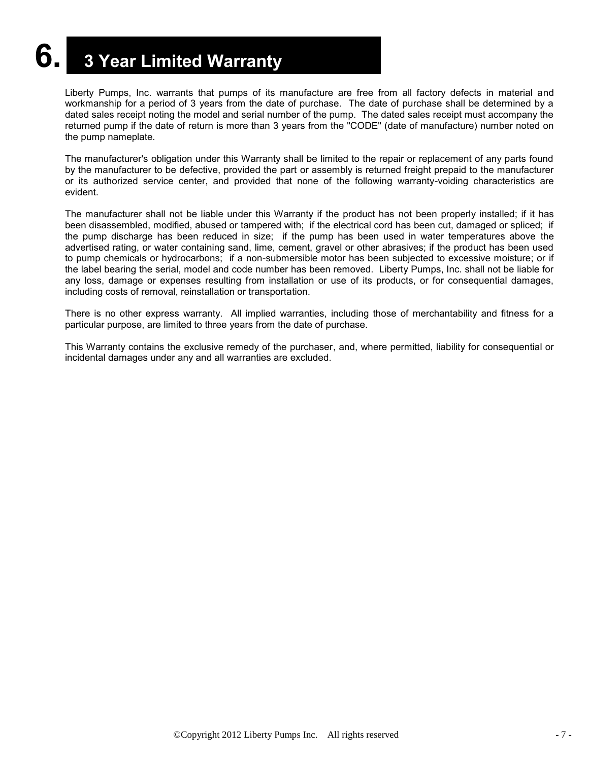## **6. <sup>3</sup> Year Limited Warranty**

Liberty Pumps, Inc. warrants that pumps of its manufacture are free from all factory defects in material and workmanship for a period of 3 years from the date of purchase. The date of purchase shall be determined by a dated sales receipt noting the model and serial number of the pump. The dated sales receipt must accompany the returned pump if the date of return is more than 3 years from the "CODE" (date of manufacture) number noted on the pump nameplate.

The manufacturer's obligation under this Warranty shall be limited to the repair or replacement of any parts found by the manufacturer to be defective, provided the part or assembly is returned freight prepaid to the manufacturer or its authorized service center, and provided that none of the following warranty-voiding characteristics are evident.

The manufacturer shall not be liable under this Warranty if the product has not been properly installed; if it has been disassembled, modified, abused or tampered with; if the electrical cord has been cut, damaged or spliced; if the pump discharge has been reduced in size; if the pump has been used in water temperatures above the advertised rating, or water containing sand, lime, cement, gravel or other abrasives; if the product has been used to pump chemicals or hydrocarbons; if a non-submersible motor has been subjected to excessive moisture; or if the label bearing the serial, model and code number has been removed. Liberty Pumps, Inc. shall not be liable for any loss, damage or expenses resulting from installation or use of its products, or for consequential damages, including costs of removal, reinstallation or transportation.

There is no other express warranty. All implied warranties, including those of merchantability and fitness for a particular purpose, are limited to three years from the date of purchase.

This Warranty contains the exclusive remedy of the purchaser, and, where permitted, liability for consequential or incidental damages under any and all warranties are excluded.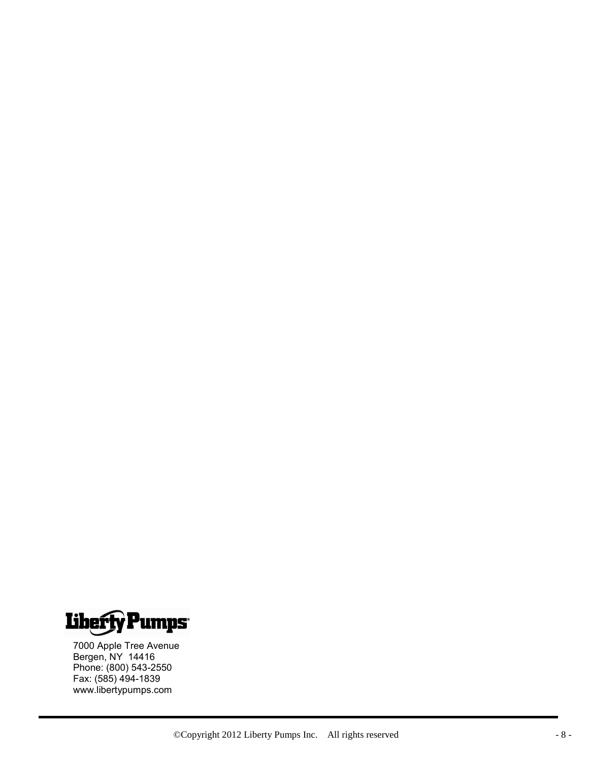

7000 Apple Tree Avenue Bergen, NY 14416 Phone: (800) 543-2550 Fax: (585) 494-1839 www.libertypumps.com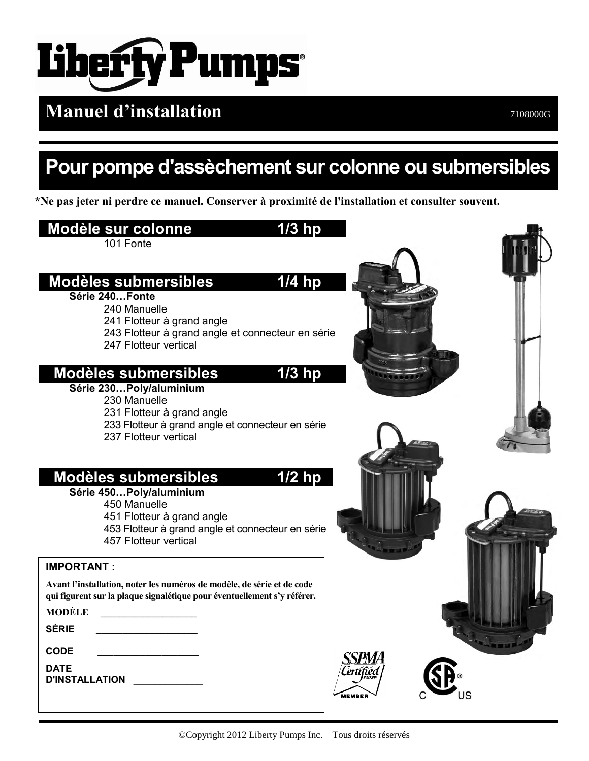

## **Manuel d'installation**

## **Pour pompe d'assèchement sur colonne ou submersibles**

**\*Ne pas jeter ni perdre ce manuel. Conserver à proximité de l'installation et consulter souvent.**

### **Modèle sur colonne 1/3 hp** 101 Fonte  **Modèles submersibles 1/4 hp Série 240…Fonte**  240 Manuelle 241 Flotteur à grand angle 243 Flotteur à grand angle et connecteur en série 247 Flotteur vertical  **Modèles submersibles 1/3 hp Série 230…Poly/aluminium**  230 Manuelle 231 Flotteur à grand angle 233 Flotteur à grand angle et connecteur en série 237 Flotteur vertical  **Modèles submersibles 1/2 hp Série 450…Poly/aluminium**  450 Manuelle 451 Flotteur à grand angle 453 Flotteur à grand angle et connecteur en série 457 Flotteur vertical **IMPORTANT : Avant l'installation, noter les numéros de modèle, de série et de code qui figurent sur la plaque signalétique pour éventuellement s'y référer. MODÈLE \_\_\_\_\_\_\_\_\_\_\_\_\_\_\_\_\_\_\_\_ SÉRIE \_\_\_\_\_\_\_\_\_\_\_\_\_\_\_\_\_\_\_ CODE \_\_\_\_\_\_\_\_\_\_\_\_\_\_\_\_\_\_\_** *SPMA* **DATE D'INSTALLATION \_\_\_\_\_\_\_\_\_\_\_\_\_**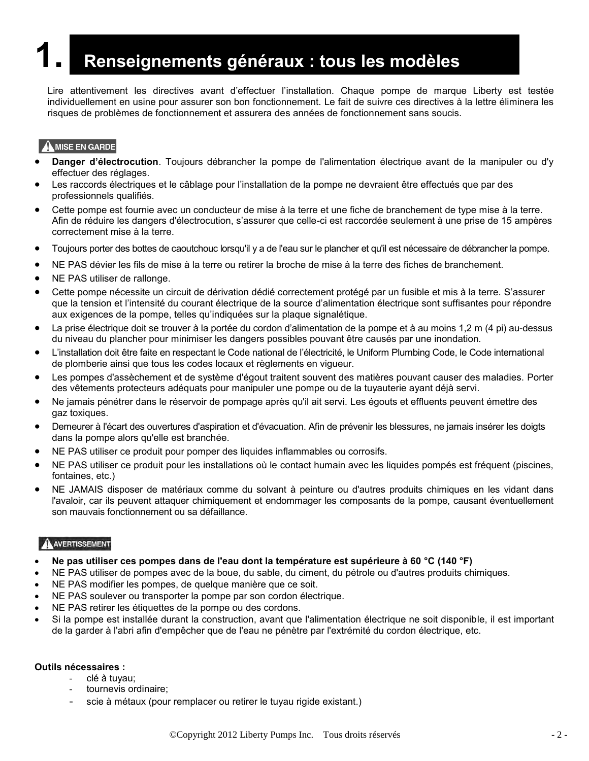## **1. Renseignements généraux : tous les modèles**

Lire attentivement les directives avant d'effectuer l'installation. Chaque pompe de marque Liberty est testée individuellement en usine pour assurer son bon fonctionnement. Le fait de suivre ces directives à la lettre éliminera les risques de problèmes de fonctionnement et assurera des années de fonctionnement sans soucis.

#### A MISE EN GARDE

- **Danger d'électrocution**. Toujours débrancher la pompe de l'alimentation électrique avant de la manipuler ou d'y effectuer des réglages.
- Les raccords électriques et le câblage pour l'installation de la pompe ne devraient être effectués que par des professionnels qualifiés.
- Cette pompe est fournie avec un conducteur de mise à la terre et une fiche de branchement de type mise à la terre. Afin de réduire les dangers d'électrocution, s'assurer que celle-ci est raccordée seulement à une prise de 15 ampères correctement mise à la terre.
- Toujours porter des bottes de caoutchouc lorsqu'il y a de l'eau sur le plancher et qu'il est nécessaire de débrancher la pompe.
- NE PAS dévier les fils de mise à la terre ou retirer la broche de mise à la terre des fiches de branchement.
- NE PAS utiliser de rallonge.
- Cette pompe nécessite un circuit de dérivation dédié correctement protégé par un fusible et mis à la terre. S'assurer que la tension et l'intensité du courant électrique de la source d'alimentation électrique sont suffisantes pour répondre aux exigences de la pompe, telles qu'indiquées sur la plaque signalétique.
- La prise électrique doit se trouver à la portée du cordon d'alimentation de la pompe et à au moins 1,2 m (4 pi) au-dessus du niveau du plancher pour minimiser les dangers possibles pouvant être causés par une inondation.
- L'installation doit être faite en respectant le Code national de l'électricité, le Uniform Plumbing Code, le Code international de plomberie ainsi que tous les codes locaux et règlements en vigueur.
- Les pompes d'assèchement et de système d'égout traitent souvent des matières pouvant causer des maladies. Porter des vêtements protecteurs adéquats pour manipuler une pompe ou de la tuyauterie ayant déjà servi.
- Ne jamais pénétrer dans le réservoir de pompage après qu'il ait servi. Les égouts et effluents peuvent émettre des gaz toxiques.
- Demeurer à l'écart des ouvertures d'aspiration et d'évacuation. Afin de prévenir les blessures, ne jamais insérer les doigts dans la pompe alors qu'elle est branchée.
- NE PAS utiliser ce produit pour pomper des liquides inflammables ou corrosifs.
- NE PAS utiliser ce produit pour les installations où le contact humain avec les liquides pompés est fréquent (piscines, fontaines, etc.)
- NE JAMAIS disposer de matériaux comme du solvant à peinture ou d'autres produits chimiques en les vidant dans l'avaloir, car ils peuvent attaquer chimiquement et endommager les composants de la pompe, causant éventuellement son mauvais fonctionnement ou sa défaillance.

#### A AVERTISSEMENT

- **Ne pas utiliser ces pompes dans de l'eau dont la température est supérieure à 60 °C (140 °F)**
- NE PAS utiliser de pompes avec de la boue, du sable, du ciment, du pétrole ou d'autres produits chimiques.
- NE PAS modifier les pompes, de quelque manière que ce soit.
- NE PAS soulever ou transporter la pompe par son cordon électrique.
- NE PAS retirer les étiquettes de la pompe ou des cordons.
- Si la pompe est installée durant la construction, avant que l'alimentation électrique ne soit disponible, il est important de la garder à l'abri afin d'empêcher que de l'eau ne pénètre par l'extrémité du cordon électrique, etc.

#### **Outils nécessaires :**

- clé à tuyau;
	- tournevis ordinaire;
	- scie à métaux (pour remplacer ou retirer le tuyau rigide existant.)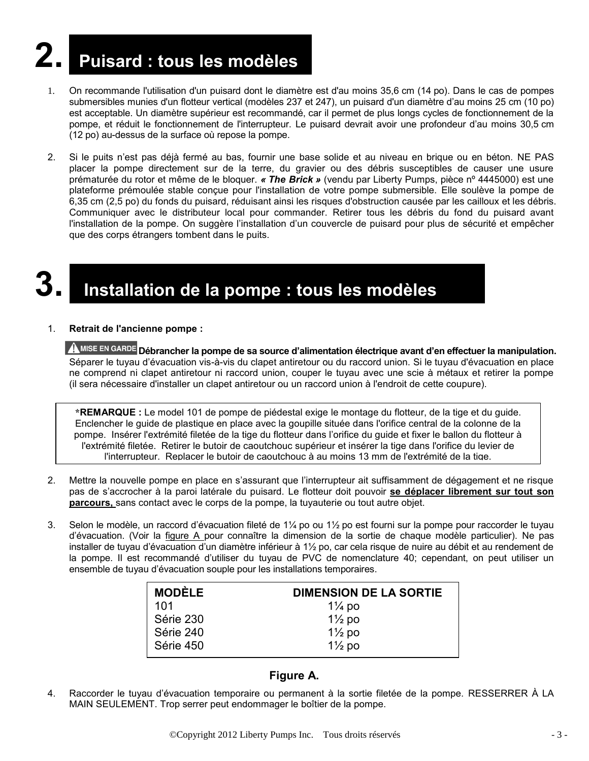# **2. Puisard : tous les modèles**

- 1. On recommande l'utilisation d'un puisard dont le diamètre est d'au moins 35,6 cm (14 po). Dans le cas de pompes submersibles munies d'un flotteur vertical (modèles 237 et 247), un puisard d'un diamètre d'au moins 25 cm (10 po) est acceptable. Un diamètre supérieur est recommandé, car il permet de plus longs cycles de fonctionnement de la pompe, et réduit le fonctionnement de l'interrupteur. Le puisard devrait avoir une profondeur d'au moins 30,5 cm (12 po) au-dessus de la surface où repose la pompe.
- 2. Si le puits n'est pas déjà fermé au bas, fournir une base solide et au niveau en brique ou en béton. NE PAS placer la pompe directement sur de la terre, du gravier ou des débris susceptibles de causer une usure prématurée du rotor et même de le bloquer. *« The Brick »* (vendu par Liberty Pumps, pièce nº 4445000) est une plateforme prémoulée stable conçue pour l'installation de votre pompe submersible. Elle soulève la pompe de 6,35 cm (2,5 po) du fonds du puisard, réduisant ainsi les risques d'obstruction causée par les cailloux et les débris. Communiquer avec le distributeur local pour commander. Retirer tous les débris du fond du puisard avant l'installation de la pompe. On suggère l'installation d'un couvercle de puisard pour plus de sécurité et empêcher que des corps étrangers tombent dans le puits.

## **3. Installation de la pompe : tous les modèles**

#### 1. **Retrait de l'ancienne pompe :**

**A MISE EN GARDE** Débrancher la pompe de sa source d'alimentation électrique avant d'en effectuer la manipulation. Séparer le tuyau d'évacuation vis-à-vis du clapet antiretour ou du raccord union. Si le tuyau d'évacuation en place ne comprend ni clapet antiretour ni raccord union, couper le tuyau avec une scie à métaux et retirer la pompe (il sera nécessaire d'installer un clapet antiretour ou un raccord union à l'endroit de cette coupure).

**\*REMARQUE :** Le model 101 de pompe de piédestal exige le montage du flotteur, de la tige et du guide. Enclencher le guide de plastique en place avec la goupille située dans l'orifice central de la colonne de la pompe. Insérer l'extrémité filetée de la tige du flotteur dans l'orifice du guide et fixer le ballon du flotteur à l'extrémité filetée. Retirer le butoir de caoutchouc supérieur et insérer la tige dans l'orifice du levier de l'interrupteur. Replacer le butoir de caoutchouc à au moins 13 mm de l'extrémité de la tige.

- 2. Mettre la nouvelle pompe en place en s'assurant que l'interrupteur ait suffisamment de dégagement et ne risque pas de s'accrocher à la paroi latérale du puisard. Le flotteur doit pouvoir **se déplacer librement sur tout son parcours,** sans contact avec le corps de la pompe, la tuyauterie ou tout autre objet.
- 3. Selon le modèle, un raccord d'évacuation fileté de 1¼ po ou 1½ po est fourni sur la pompe pour raccorder le tuyau d'évacuation. (Voir la figure A pour connaître la dimension de la sortie de chaque modèle particulier). Ne pas installer de tuyau d'évacuation d'un diamètre inférieur à 1½ po, car cela risque de nuire au débit et au rendement de la pompe. Il est recommandé d'utiliser du tuyau de PVC de nomenclature 40; cependant, on peut utiliser un ensemble de tuyau d'évacuation souple pour les installations temporaires.

| <b>DIMENSION DE LA SORTIE</b> |
|-------------------------------|
| $1\frac{1}{4}$ po             |
| $1\frac{1}{2}$ po             |
| $1\frac{1}{2}$ po             |
| $1\frac{1}{2}$ po             |
|                               |

#### **Figure A.**

4. Raccorder le tuyau d'évacuation temporaire ou permanent à la sortie filetée de la pompe. RESSERRER À LA MAIN SEULEMENT. Trop serrer peut endommager le boîtier de la pompe.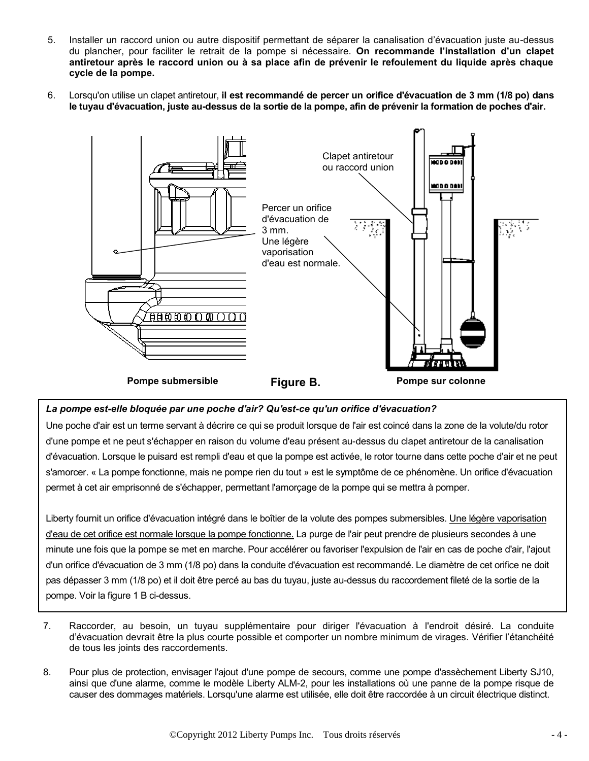- 5. Installer un raccord union ou autre dispositif permettant de séparer la canalisation d'évacuation juste au-dessus du plancher, pour faciliter le retrait de la pompe si nécessaire. **On recommande l'installation d'un clapet antiretour après le raccord union ou à sa place afin de prévenir le refoulement du liquide après chaque cycle de la pompe.**
- 6. Lorsqu'on utilise un clapet antiretour, **il est recommandé de percer un orifice d'évacuation de 3 mm (1/8 po) dans le tuyau d'évacuation, juste au-dessus de la sortie de la pompe, afin de prévenir la formation de poches d'air.**



#### *La pompe est-elle bloquée par une poche d'air? Qu'est-ce qu'un orifice d'évacuation?*

Une poche d'air est un terme servant à décrire ce qui se produit lorsque de l'air est coincé dans la zone de la volute/du rotor d'une pompe et ne peut s'échapper en raison du volume d'eau présent au-dessus du clapet antiretour de la canalisation d'évacuation. Lorsque le puisard est rempli d'eau et que la pompe est activée, le rotor tourne dans cette poche d'air et ne peut s'amorcer. « La pompe fonctionne, mais ne pompe rien du tout » est le symptôme de ce phénomène. Un orifice d'évacuation permet à cet air emprisonné de s'échapper, permettant l'amorçage de la pompe qui se mettra à pomper.

Liberty fournit un orifice d'évacuation intégré dans le boîtier de la volute des pompes submersibles. Une légère vaporisation d'eau de cet orifice est normale lorsque la pompe fonctionne. La purge de l'air peut prendre de plusieurs secondes à une minute une fois que la pompe se met en marche. Pour accélérer ou favoriser l'expulsion de l'air en cas de poche d'air, l'ajout d'un orifice d'évacuation de 3 mm (1/8 po) dans la conduite d'évacuation est recommandé. Le diamètre de cet orifice ne doit pas dépasser 3 mm (1/8 po) et il doit être percé au bas du tuyau, juste au-dessus du raccordement fileté de la sortie de la pompe. Voir la figure 1 B ci-dessus.

- 7. Raccorder, au besoin, un tuyau supplémentaire pour diriger l'évacuation à l'endroit désiré. La conduite d'évacuation devrait être la plus courte possible et comporter un nombre minimum de virages. Vérifier l'étanchéité de tous les joints des raccordements.
- 8. Pour plus de protection, envisager l'ajout d'une pompe de secours, comme une pompe d'assèchement Liberty SJ10, ainsi que d'une alarme, comme le modèle Liberty ALM-2, pour les installations où une panne de la pompe risque de causer des dommages matériels. Lorsqu'une alarme est utilisée, elle doit être raccordée à un circuit électrique distinct.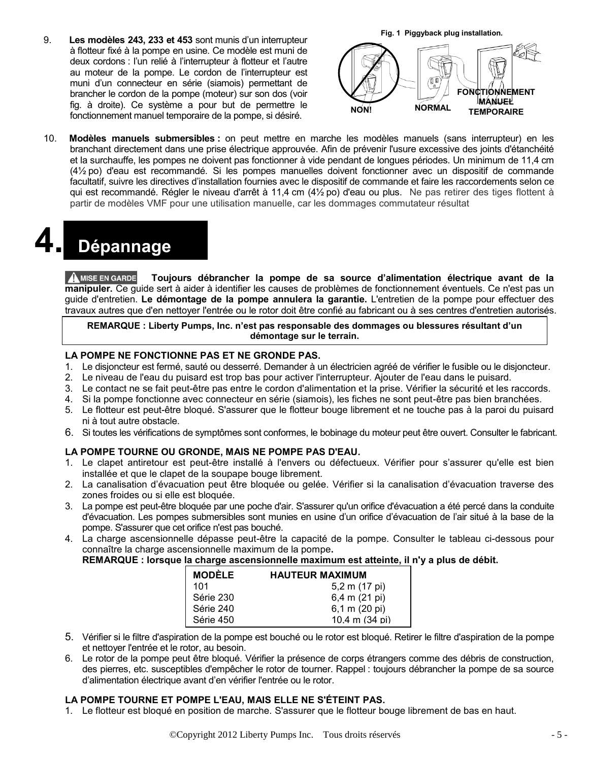9. **Les modèles 243, 233 et 453** sont munis d'un interrupteur à flotteur fixé à la pompe en usine. Ce modèle est muni de deux cordons : l'un relié à l'interrupteur à flotteur et l'autre au moteur de la pompe. Le cordon de l'interrupteur est muni d'un connecteur en série (siamois) permettant de brancher le cordon de la pompe (moteur) sur son dos (voir fig. à droite). Ce système a pour but de permettre le fonctionnement manuel temporaire de la pompe, si désiré.



10. **Modèles manuels submersibles :** on peut mettre en marche les modèles manuels (sans interrupteur) en les branchant directement dans une prise électrique approuvée. Afin de prévenir l'usure excessive des joints d'étanchéité et la surchauffe, les pompes ne doivent pas fonctionner à vide pendant de longues périodes. Un minimum de 11,4 cm (4½ po) d'eau est recommandé. Si les pompes manuelles doivent fonctionner avec un dispositif de commande facultatif, suivre les directives d'installation fournies avec le dispositif de commande et faire les raccordements selon ce qui est recommandé. Régler le niveau d'arrêt à 11,4 cm (4½ po) d'eau ou plus. Ne pas retirer des tiges flottent à partir de modèles VMF pour une utilisation manuelle, car les dommages commutateur résultat

## **4. Dépannage**

**A MISE EN GARDE Toujours débrancher la pompe de sa source d'alimentation électrique avant de la manipuler.** Ce guide sert à aider à identifier les causes de problèmes de fonctionnement éventuels. Ce n'est pas un guide d'entretien. **Le démontage de la pompe annulera la garantie.** L'entretien de la pompe pour effectuer des travaux autres que d'en nettoyer l'entrée ou le rotor doit être confié au fabricant ou à ses centres d'entretien autorisés.

**REMARQUE : Liberty Pumps, Inc. n'est pas responsable des dommages ou blessures résultant d'un démontage sur le terrain.**

#### **LA POMPE NE FONCTIONNE PAS ET NE GRONDE PAS.**

- 1. Le disjoncteur est fermé, sauté ou desserré. Demander à un électricien agréé de vérifier le fusible ou le disjoncteur.
- 2. Le niveau de l'eau du puisard est trop bas pour activer l'interrupteur. Ajouter de l'eau dans le puisard.
- 3. Le contact ne se fait peut-être pas entre le cordon d'alimentation et la prise. Vérifier la sécurité et les raccords.
- 4. Si la pompe fonctionne avec connecteur en série (siamois), les fiches ne sont peut-être pas bien branchées.
- 5. Le flotteur est peut-être bloqué. S'assurer que le flotteur bouge librement et ne touche pas à la paroi du puisard ni à tout autre obstacle.
- 6. Si toutes les vérifications de symptômes sont conformes, le bobinage du moteur peut être ouvert. Consulter le fabricant.

#### **LA POMPE TOURNE OU GRONDE, MAIS NE POMPE PAS D'EAU.**

- 1. Le clapet antiretour est peut-être installé à l'envers ou défectueux. Vérifier pour s'assurer qu'elle est bien installée et que le clapet de la soupape bouge librement.
- 2. La canalisation d'évacuation peut être bloquée ou gelée. Vérifier si la canalisation d'évacuation traverse des zones froides ou si elle est bloquée.
- 3. La pompe est peut-être bloquée par une poche d'air. S'assurer qu'un orifice d'évacuation a été percé dans la conduite d'évacuation. Les pompes submersibles sont munies en usine d'un orifice d'évacuation de l'air situé à la base de la pompe. S'assurer que cet orifice n'est pas bouché.
- 4. La charge ascensionnelle dépasse peut-être la capacité de la pompe. Consulter le tableau ci-dessous pour connaître la charge ascensionnelle maximum de la pompe**.**

**REMARQUE : lorsque la charge ascensionnelle maximum est atteinte, il n'y a plus de débit.**

| <b>MODÈLE</b> | <b>HAUTEUR MAXIMUM</b>   |
|---------------|--------------------------|
| 101           | 5,2 m (17 pi)            |
| Série 230     | 6,4 m (21 pi)            |
| Série 240     | 6,1 m (20 pi)            |
| Série 450     | $10.4 \text{ m}$ (34 pi) |

- 5. Vérifier si le filtre d'aspiration de la pompe est bouché ou le rotor est bloqué. Retirer le filtre d'aspiration de la pompe et nettoyer l'entrée et le rotor, au besoin.
- 6. Le rotor de la pompe peut être bloqué. Vérifier la présence de corps étrangers comme des débris de construction, des pierres, etc. susceptibles d'empêcher le rotor de tourner. Rappel : toujours débrancher la pompe de sa source d'alimentation électrique avant d'en vérifier l'entrée ou le rotor.

#### **LA POMPE TOURNE ET POMPE L'EAU, MAIS ELLE NE S'ÉTEINT PAS.**

1. Le flotteur est bloqué en position de marche. S'assurer que le flotteur bouge librement de bas en haut.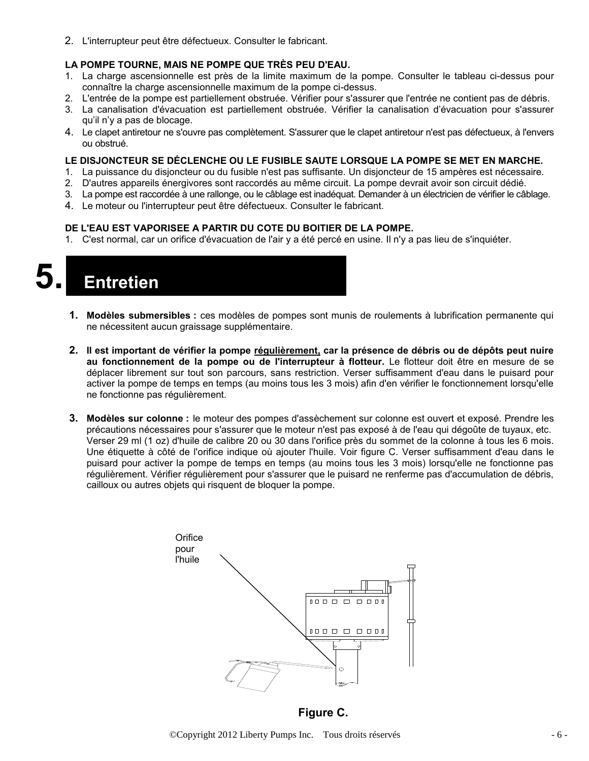2. L'interrupteur peut être défectueux. Consulter le fabricant.

#### **LA POMPE TOURNE, MAIS NE POMPE QUE TRÈS PEU D'EAU.**

- 1. La charge ascensionnelle est près de la limite maximum de la pompe. Consulter le tableau ci-dessus pour connaître la charge ascensionnelle maximum de la pompe ci-dessus.
- 2. L'entrée de la pompe est partiellement obstruée. Vérifier pour s'assurer que l'entrée ne contient pas de débris.
- 3. La canalisation d'évacuation est partiellement obstruée. Vérifier la canalisation d'évacuation pour s'assurer qu'il n'y a pas de blocage.
- 4. Le clapet antiretour ne s'ouvre pas complètement. S'assurer que le clapet antiretour n'est pas défectueux, à l'envers ou obstrué.

#### **LE DISJONCTEUR SE DÉCLENCHE OU LE FUSIBLE SAUTE LORSQUE LA POMPE SE MET EN MARCHE.**

- 1. La puissance du disjoncteur ou du fusible n'est pas suffisante. Un disjoncteur de 15 ampères est nécessaire.
- 2. D'autres appareils énergivores sont raccordés au même circuit. La pompe devrait avoir son circuit dédié.
- 3. La pompe est raccordée à une rallonge, ou le câblage est inadéquat. Demander à un électricien de vérifier le câblage.
- 4. Le moteur ou l'interrupteur peut être défectueux. Consulter le fabricant.

#### **DE L'EAU EST VAPORISEE A PARTIR DU COTE DU BOITIER DE LA POMPE.**

1. C'est normal, car un orifice d'évacuation de l'air y a été percé en usine. Il n'y a pas lieu de s'inquiéter.

**5. Entretien**

- **1. Modèles submersibles :** ces modèles de pompes sont munis de roulements à lubrification permanente qui ne nécessitent aucun graissage supplémentaire.
- **2. Il est important de vérifier la pompe régulièrement, car la présence de débris ou de dépôts peut nuire au fonctionnement de la pompe ou de l'interrupteur à flotteur.** Le flotteur doit être en mesure de se déplacer librement sur tout son parcours, sans restriction. Verser suffisamment d'eau dans le puisard pour activer la pompe de temps en temps (au moins tous les 3 mois) afin d'en vérifier le fonctionnement lorsqu'elle ne fonctionne pas régulièrement.
- **3. Modèles sur colonne :** le moteur des pompes d'assèchement sur colonne est ouvert et exposé. Prendre les précautions nécessaires pour s'assurer que le moteur n'est pas exposé à de l'eau qui dégoûte de tuyaux, etc. Verser 29 ml (1 oz) d'huile de calibre 20 ou 30 dans l'orifice près du sommet de la colonne à tous les 6 mois. Une étiquette à côté de l'orifice indique où ajouter l'huile. Voir figure C. Verser suffisamment d'eau dans le puisard pour activer la pompe de temps en temps (au moins tous les 3 mois) lorsqu'elle ne fonctionne pas régulièrement. Vérifier régulièrement pour s'assurer que le puisard ne renferme pas d'accumulation de débris, cailloux ou autres objets qui risquent de bloquer la pompe.



**Figure C.**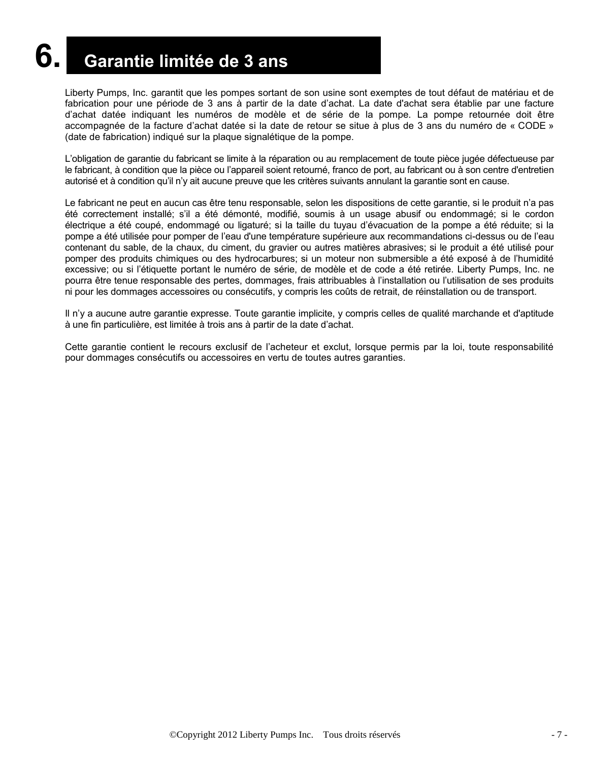## **6. Garantie limitée de 3 ans**

Liberty Pumps, Inc. garantit que les pompes sortant de son usine sont exemptes de tout défaut de matériau et de fabrication pour une période de 3 ans à partir de la date d'achat. La date d'achat sera établie par une facture d'achat datée indiquant les numéros de modèle et de série de la pompe. La pompe retournée doit être accompagnée de la facture d'achat datée si la date de retour se situe à plus de 3 ans du numéro de « CODE » (date de fabrication) indiqué sur la plaque signalétique de la pompe.

L'obligation de garantie du fabricant se limite à la réparation ou au remplacement de toute pièce jugée défectueuse par le fabricant, à condition que la pièce ou l'appareil soient retourné, franco de port, au fabricant ou à son centre d'entretien autorisé et à condition qu'il n'y ait aucune preuve que les critères suivants annulant la garantie sont en cause.

Le fabricant ne peut en aucun cas être tenu responsable, selon les dispositions de cette garantie, si le produit n'a pas été correctement installé; s'il a été démonté, modifié, soumis à un usage abusif ou endommagé; si le cordon électrique a été coupé, endommagé ou ligaturé; si la taille du tuyau d'évacuation de la pompe a été réduite; si la pompe a été utilisée pour pomper de l'eau d'une température supérieure aux recommandations ci-dessus ou de l'eau contenant du sable, de la chaux, du ciment, du gravier ou autres matières abrasives; si le produit a été utilisé pour pomper des produits chimiques ou des hydrocarbures; si un moteur non submersible a été exposé à de l'humidité excessive; ou si l'étiquette portant le numéro de série, de modèle et de code a été retirée. Liberty Pumps, Inc. ne pourra être tenue responsable des pertes, dommages, frais attribuables à l'installation ou l'utilisation de ses produits ni pour les dommages accessoires ou consécutifs, y compris les coûts de retrait, de réinstallation ou de transport.

Il n'y a aucune autre garantie expresse. Toute garantie implicite, y compris celles de qualité marchande et d'aptitude à une fin particulière, est limitée à trois ans à partir de la date d'achat.

Cette garantie contient le recours exclusif de l'acheteur et exclut, lorsque permis par la loi, toute responsabilité pour dommages consécutifs ou accessoires en vertu de toutes autres garanties.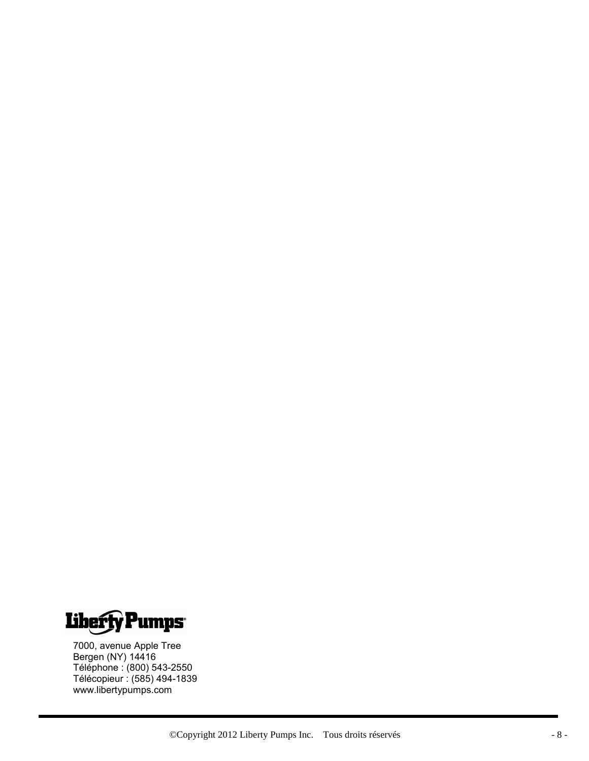

7000, avenue Apple Tree Bergen (NY) 14416 Téléphone : (800) 543-2550 Télécopieur : (585) 494-1839 www.libertypumps.com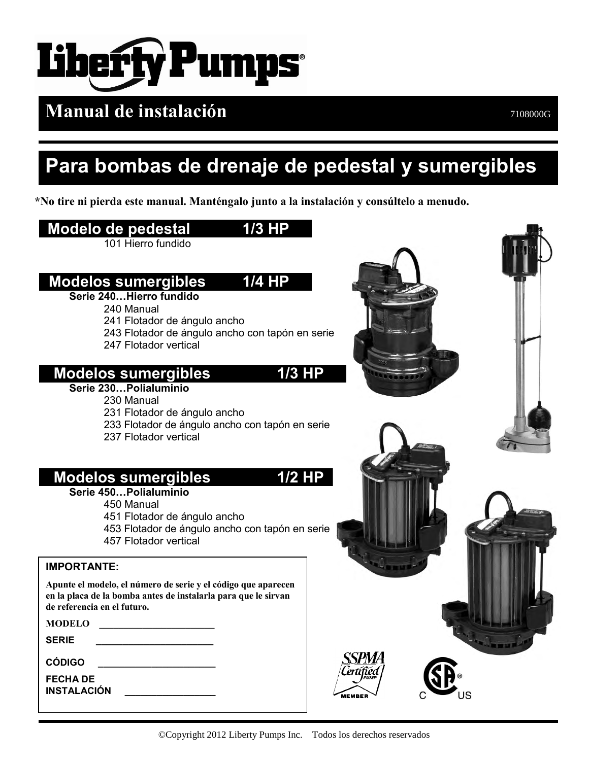

**Manual de instalación** *PHONOCITY**Manual* **de instalación** 

## **Para bombas de drenaje de pedestal y sumergibles**

**\*No tire ni pierda este manual. Manténgalo junto a la instalación y consúltelo a menudo.**

### **Modelo de pedestal 1/3 HP** 101 Hierro fundido  **Modelos sumergibles 1/4 HP Serie 240…Hierro fundido**  240 Manual 241 Flotador de ángulo ancho 243 Flotador de ángulo ancho con tapón en serie 247 Flotador vertical  **Modelos sumergibles 1/3 HP Serie 230…Polialuminio**  230 Manual 231 Flotador de ángulo ancho 233 Flotador de ángulo ancho con tapón en serie 237 Flotador vertical  **Modelos sumergibles 1/2 HP Serie 450…Polialuminio**  450 Manual 451 Flotador de ángulo ancho 453 Flotador de ángulo ancho con tapón en serie 457 Flotador vertical **IMPORTANTE: Apunte el modelo, el número de serie y el código que aparecen en la placa de la bomba antes de instalarla para que le sirvan de referencia en el futuro. MODELO \_\_\_\_\_\_\_\_\_\_\_\_\_\_\_\_\_\_\_\_\_\_\_\_ SERIE \_\_\_\_\_\_\_\_\_\_\_\_\_\_\_\_\_\_\_\_\_\_** *SPMA* **CÓDIGO \_\_\_\_\_\_\_\_\_\_\_\_\_\_\_\_\_\_\_\_\_\_ FECHA DE INSTALACIÓN**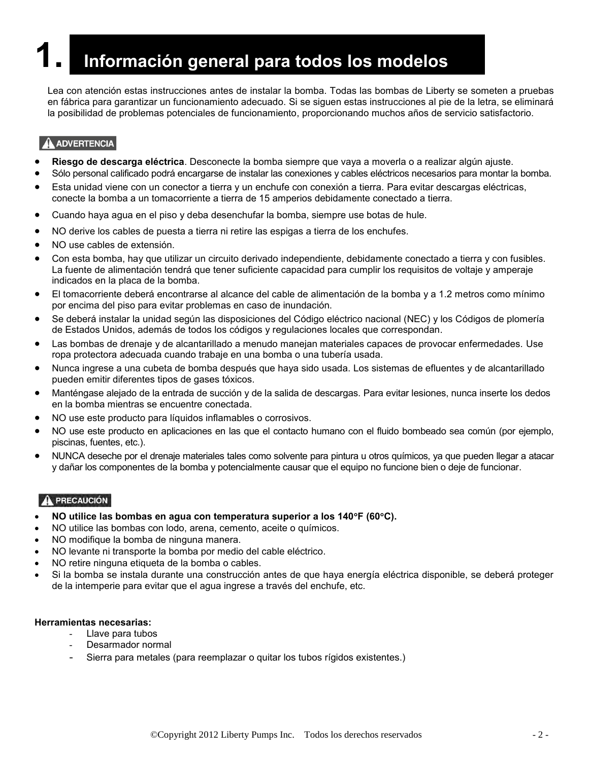## **1. Información general para todos los modelos**

Lea con atención estas instrucciones antes de instalar la bomba. Todas las bombas de Liberty se someten a pruebas en fábrica para garantizar un funcionamiento adecuado. Si se siguen estas instrucciones al pie de la letra, se eliminará la posibilidad de problemas potenciales de funcionamiento, proporcionando muchos años de servicio satisfactorio.

#### A ADVERTENCIA

- **Riesgo de descarga eléctrica**. Desconecte la bomba siempre que vaya a moverla o a realizar algún ajuste.
- Sólo personal calificado podrá encargarse de instalar las conexiones y cables eléctricos necesarios para montar la bomba.
- Esta unidad viene con un conector a tierra y un enchufe con conexión a tierra. Para evitar descargas eléctricas, conecte la bomba a un tomacorriente a tierra de 15 amperios debidamente conectado a tierra.
- Cuando haya agua en el piso y deba desenchufar la bomba, siempre use botas de hule.
- NO derive los cables de puesta a tierra ni retire las espigas a tierra de los enchufes.
- NO use cables de extensión.
- Con esta bomba, hay que utilizar un circuito derivado independiente, debidamente conectado a tierra y con fusibles. La fuente de alimentación tendrá que tener suficiente capacidad para cumplir los requisitos de voltaje y amperaje indicados en la placa de la bomba.
- El tomacorriente deberá encontrarse al alcance del cable de alimentación de la bomba y a 1.2 metros como mínimo por encima del piso para evitar problemas en caso de inundación.
- Se deberá instalar la unidad según las disposiciones del Código eléctrico nacional (NEC) y los Códigos de plomería de Estados Unidos, además de todos los códigos y regulaciones locales que correspondan.
- Las bombas de drenaje y de alcantarillado a menudo manejan materiales capaces de provocar enfermedades. Use ropa protectora adecuada cuando trabaje en una bomba o una tubería usada.
- Nunca ingrese a una cubeta de bomba después que haya sido usada. Los sistemas de efluentes y de alcantarillado pueden emitir diferentes tipos de gases tóxicos.
- Manténgase alejado de la entrada de succión y de la salida de descargas. Para evitar lesiones, nunca inserte los dedos en la bomba mientras se encuentre conectada.
- NO use este producto para líquidos inflamables o corrosivos.
- NO use este producto en aplicaciones en las que el contacto humano con el fluido bombeado sea común (por ejemplo, piscinas, fuentes, etc.).
- NUNCA deseche por el drenaje materiales tales como solvente para pintura u otros químicos, ya que pueden llegar a atacar y dañar los componentes de la bomba y potencialmente causar que el equipo no funcione bien o deje de funcionar.

#### **A PRECAUCIÓN**

- **NO utilice las bombas en agua con temperatura superior a los 140F (60C).**
- NO utilice las bombas con lodo, arena, cemento, aceite o químicos.
- NO modifique la bomba de ninguna manera.
- NO levante ni transporte la bomba por medio del cable eléctrico.
- NO retire ninguna etiqueta de la bomba o cables.
- Si la bomba se instala durante una construcción antes de que haya energía eléctrica disponible, se deberá proteger de la intemperie para evitar que el agua ingrese a través del enchufe, etc.

#### **Herramientas necesarias:**

- Llave para tubos
- Desarmador normal
- Sierra para metales (para reemplazar o quitar los tubos rígidos existentes.)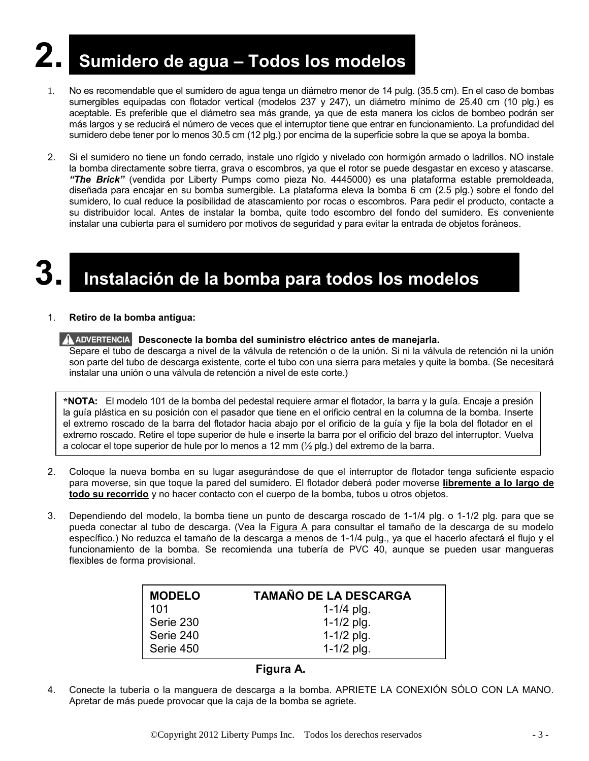## **2. Sumidero de agua – Todos los modelos**

- 1. No es recomendable que el sumidero de agua tenga un diámetro menor de 14 pulg. (35.5 cm). En el caso de bombas sumergibles equipadas con flotador vertical (modelos 237 y 247), un diámetro mínimo de 25.40 cm (10 plg.) es aceptable. Es preferible que el diámetro sea más grande, ya que de esta manera los ciclos de bombeo podrán ser más largos y se reducirá el número de veces que el interruptor tiene que entrar en funcionamiento. La profundidad del sumidero debe tener por lo menos 30.5 cm (12 plg.) por encima de la superficie sobre la que se apoya la bomba.
- 2. Si el sumidero no tiene un fondo cerrado, instale uno rígido y nivelado con hormigón armado o ladrillos. NO instale la bomba directamente sobre tierra, grava o escombros, ya que el rotor se puede desgastar en exceso y atascarse. *"The Brick"* (vendida por Liberty Pumps como pieza No. 4445000) es una plataforma estable premoldeada, diseñada para encajar en su bomba sumergible. La plataforma eleva la bomba 6 cm (2.5 plg.) sobre el fondo del sumidero, lo cual reduce la posibilidad de atascamiento por rocas o escombros. Para pedir el producto, contacte a su distribuidor local. Antes de instalar la bomba, quite todo escombro del fondo del sumidero. Es conveniente instalar una cubierta para el sumidero por motivos de seguridad y para evitar la entrada de objetos foráneos.

### **3. Instalación de la bomba para todos los modelos**

#### 1. **Retiro de la bomba antigua:**

#### **A ADVERTENCIA** Desconecte la bomba del suministro eléctrico antes de manejarla.

Separe el tubo de descarga a nivel de la válvula de retención o de la unión. Si ni la válvula de retención ni la unión son parte del tubo de descarga existente, corte el tubo con una sierra para metales y quite la bomba. (Se necesitará instalar una unión o una válvula de retención a nivel de este corte.)

**\*NOTA:** El modelo 101 de la bomba del pedestal requiere armar el flotador, la barra y la guía. Encaje a presión la guía plástica en su posición con el pasador que tiene en el orificio central en la columna de la bomba. Inserte el extremo roscado de la barra del flotador hacia abajo por el orificio de la guía y fije la bola del flotador en el extremo roscado. Retire el tope superior de hule e inserte la barra por el orificio del brazo del interruptor. Vuelva a colocar el tope superior de hule por lo menos a 12 mm (½ plg.) del extremo de la barra.

- 2. Coloque la nueva bomba en su lugar asegurándose de que el interruptor de flotador tenga suficiente espacio para moverse, sin que toque la pared del sumidero. El flotador deberá poder moverse **libremente a lo largo de todo su recorrido** y no hacer contacto con el cuerpo de la bomba, tubos u otros objetos.
- 3. Dependiendo del modelo, la bomba tiene un punto de descarga roscado de 1-1/4 plg. o 1-1/2 plg. para que se pueda conectar al tubo de descarga. (Vea la Figura A para consultar el tamaño de la descarga de su modelo específico.) No reduzca el tamaño de la descarga a menos de 1-1/4 pulg., ya que el hacerlo afectará el flujo y el funcionamiento de la bomba. Se recomienda una tubería de PVC 40, aunque se pueden usar mangueras flexibles de forma provisional.

| <b>MODELO</b> | <b>TAMAÑO DE LA DESCARGA</b> |
|---------------|------------------------------|
| 101           | 1-1/4 $p$ lg.                |
| Serie 230     | $1 - 1/2$ plg.               |
| Serie 240     | $1-1/2$ plg.                 |
| Serie 450     | $1 - 1/2$ plg.               |

#### **Figura A.**

4. Conecte la tubería o la manguera de descarga a la bomba. APRIETE LA CONEXIÓN SÓLO CON LA MANO. Apretar de más puede provocar que la caja de la bomba se agriete.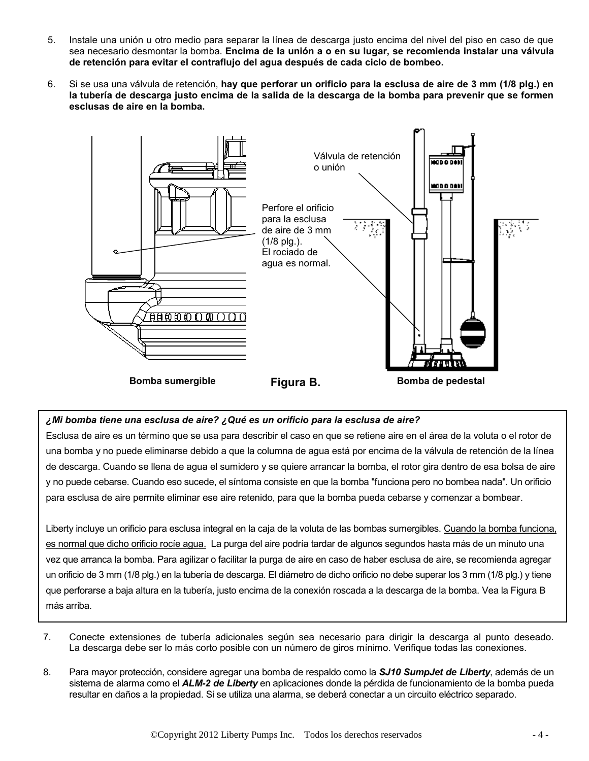- 5. Instale una unión u otro medio para separar la línea de descarga justo encima del nivel del piso en caso de que sea necesario desmontar la bomba. **Encima de la unión a o en su lugar, se recomienda instalar una válvula de retención para evitar el contraflujo del agua después de cada ciclo de bombeo.**
- 6. Si se usa una válvula de retención, **hay que perforar un orificio para la esclusa de aire de 3 mm (1/8 plg.) en la tubería de descarga justo encima de la salida de la descarga de la bomba para prevenir que se formen esclusas de aire en la bomba.**



#### *¿Mi bomba tiene una esclusa de aire? ¿Qué es un orificio para la esclusa de aire?*

Esclusa de aire es un término que se usa para describir el caso en que se retiene aire en el área de la voluta o el rotor de una bomba y no puede eliminarse debido a que la columna de agua está por encima de la válvula de retención de la línea de descarga. Cuando se llena de agua el sumidero y se quiere arrancar la bomba, el rotor gira dentro de esa bolsa de aire y no puede cebarse. Cuando eso sucede, el síntoma consiste en que la bomba "funciona pero no bombea nada". Un orificio para esclusa de aire permite eliminar ese aire retenido, para que la bomba pueda cebarse y comenzar a bombear.

Liberty incluye un orificio para esclusa integral en la caja de la voluta de las bombas sumergibles. Cuando la bomba funciona, es normal que dicho orificio rocíe agua. La purga del aire podría tardar de algunos segundos hasta más de un minuto una vez que arranca la bomba. Para agilizar o facilitar la purga de aire en caso de haber esclusa de aire, se recomienda agregar un orificio de 3 mm (1/8 plg.) en la tubería de descarga. El diámetro de dicho orificio no debe superar los 3 mm (1/8 plg.) y tiene que perforarse a baja altura en la tubería, justo encima de la conexión roscada a la descarga de la bomba. Vea la Figura B más arriba.

- 7. Conecte extensiones de tubería adicionales según sea necesario para dirigir la descarga al punto deseado. La descarga debe ser lo más corto posible con un número de giros mínimo. Verifique todas las conexiones.
- 8. Para mayor protección, considere agregar una bomba de respaldo como la *SJ10 SumpJet de Liberty*, además de un sistema de alarma como el *ALM-2 de Liberty* en aplicaciones donde la pérdida de funcionamiento de la bomba pueda resultar en daños a la propiedad. Si se utiliza una alarma, se deberá conectar a un circuito eléctrico separado.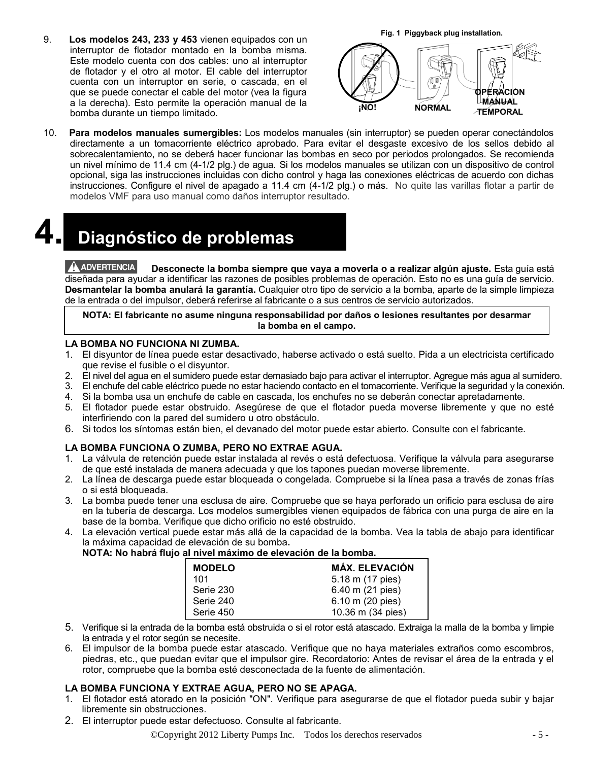9. **Los modelos 243, 233 y 453** vienen equipados con un interruptor de flotador montado en la bomba misma. Este modelo cuenta con dos cables: uno al interruptor de flotador y el otro al motor. El cable del interruptor cuenta con un interruptor en serie, o cascada, en el que se puede conectar el cable del motor (vea la figura a la derecha). Esto permite la operación manual de la bomba durante un tiempo limitado.



10. **Para modelos manuales sumergibles:** Los modelos manuales (sin interruptor) se pueden operar conectándolos directamente a un tomacorriente eléctrico aprobado. Para evitar el desgaste excesivo de los sellos debido al sobrecalentamiento, no se deberá hacer funcionar las bombas en seco por periodos prolongados. Se recomienda un nivel mínimo de 11.4 cm (4-1/2 plg.) de agua. Si los modelos manuales se utilizan con un dispositivo de control opcional, siga las instrucciones incluidas con dicho control y haga las conexiones eléctricas de acuerdo con dichas instrucciones. Configure el nivel de apagado a 11.4 cm (4-1/2 plg.) o más. No quite las varillas flotar a partir de modelos VMF para uso manual como daños interruptor resultado.

**4. Diagnóstico de problemas**

A ADVERTENCIA **Desconecte la bomba siempre que vaya a moverla o a realizar algún ajuste.** Esta guía está diseñada para ayudar a identificar las razones de posibles problemas de operación. Esto no es una guía de servicio. **Desmantelar la bomba anulará la garantía.** Cualquier otro tipo de servicio a la bomba, aparte de la simple limpieza de la entrada o del impulsor, deberá referirse al fabricante o a sus centros de servicio autorizados.

**NOTA: El fabricante no asume ninguna responsabilidad por daños o lesiones resultantes por desarmar la bomba en el campo.**

#### **LA BOMBA NO FUNCIONA NI ZUMBA.**

- 1. El disyuntor de línea puede estar desactivado, haberse activado o está suelto. Pida a un electricista certificado que revise el fusible o el disyuntor.
- 2. El nivel del agua en el sumidero puede estar demasiado bajo para activar el interruptor. Agregue más agua al sumidero.
- 3. El enchufe del cable eléctrico puede no estar haciendo contacto en el tomacorriente. Verifique la seguridad y la conexión.
- 4. Si la bomba usa un enchufe de cable en cascada, los enchufes no se deberán conectar apretadamente.
- 5. El flotador puede estar obstruido. Asegúrese de que el flotador pueda moverse libremente y que no esté interfiriendo con la pared del sumidero u otro obstáculo.
- 6. Si todos los síntomas están bien, el devanado del motor puede estar abierto. Consulte con el fabricante.

#### **LA BOMBA FUNCIONA O ZUMBA, PERO NO EXTRAE AGUA.**

- 1. La válvula de retención puede estar instalada al revés o está defectuosa. Verifique la válvula para asegurarse de que esté instalada de manera adecuada y que los tapones puedan moverse libremente.
- 2. La línea de descarga puede estar bloqueada o congelada. Compruebe si la línea pasa a través de zonas frías o si está bloqueada.
- 3. La bomba puede tener una esclusa de aire. Compruebe que se haya perforado un orificio para esclusa de aire en la tubería de descarga. Los modelos sumergibles vienen equipados de fábrica con una purga de aire en la base de la bomba. Verifique que dicho orificio no esté obstruido.
- 4. La elevación vertical puede estar más allá de la capacidad de la bomba. Vea la tabla de abajo para identificar la máxima capacidad de elevación de su bomba**.**

| <b>MODELO</b> | <b>MÁX. ELEVACIÓN</b> |
|---------------|-----------------------|
| 101           | 5.18 m (17 pies)      |
| Serie 230     | 6.40 m (21 pies)      |
| Serie 240     | 6.10 m (20 pies)      |
| Serie 450     | 10.36 m (34 pies)     |

- 5. Verifique si la entrada de la bomba está obstruida o si el rotor está atascado. Extraiga la malla de la bomba y limpie la entrada y el rotor según se necesite.
- 6. El impulsor de la bomba puede estar atascado. Verifique que no haya materiales extraños como escombros, piedras, etc., que puedan evitar que el impulsor gire. Recordatorio: Antes de revisar el área de la entrada y el rotor, compruebe que la bomba esté desconectada de la fuente de alimentación.

#### **LA BOMBA FUNCIONA Y EXTRAE AGUA, PERO NO SE APAGA.**

- 1. El flotador está atorado en la posición "ON". Verifique para asegurarse de que el flotador pueda subir y bajar libremente sin obstrucciones.
- 2. El interruptor puede estar defectuoso. Consulte al fabricante.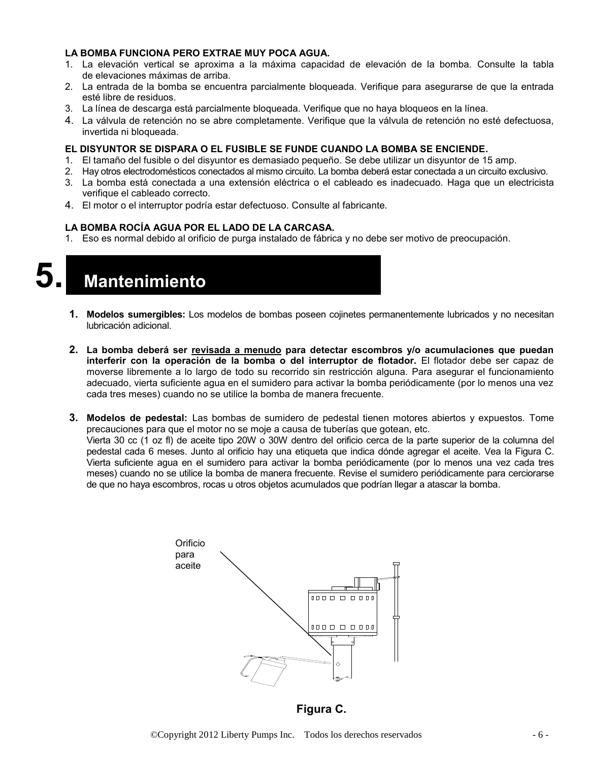#### **LA BOMBA FUNCIONA PERO EXTRAE MUY POCA AGUA.**

- 1. La elevación vertical se aproxima a la máxima capacidad de elevación de la bomba. Consulte la tabla de elevaciones máximas de arriba.
- 2. La entrada de la bomba se encuentra parcialmente bloqueada. Verifique para asegurarse de que la entrada esté libre de residuos.
- 3. La línea de descarga está parcialmente bloqueada. Verifique que no haya bloqueos en la línea.
- 4. La válvula de retención no se abre completamente. Verifique que la válvula de retención no esté defectuosa, invertida ni bloqueada.

#### **EL DISYUNTOR SE DISPARA O EL FUSIBLE SE FUNDE CUANDO LA BOMBA SE ENCIENDE.**

- 1. El tamaño del fusible o del disyuntor es demasiado pequeño. Se debe utilizar un disyuntor de 15 amp.
- 2. Hay otros electrodomésticos conectados al mismo circuito. La bomba deberá estar conectada a un circuito exclusivo.
- 3. La bomba está conectada a una extensión eléctrica o el cableado es inadecuado. Haga que un electricista verifique el cableado correcto.
- 4. El motor o el interruptor podría estar defectuoso. Consulte al fabricante.

#### **LA BOMBA ROCÍA AGUA POR EL LADO DE LA CARCASA.**

1. Eso es normal debido al orificio de purga instalado de fábrica y no debe ser motivo de preocupación.

**5. Mantenimiento**

- **1. Modelos sumergibles:** Los modelos de bombas poseen cojinetes permanentemente lubricados y no necesitan lubricación adicional.
- **2. La bomba deberá ser revisada a menudo para detectar escombros y/o acumulaciones que puedan interferir con la operación de la bomba o del interruptor de flotador.** El flotador debe ser capaz de moverse libremente a lo largo de todo su recorrido sin restricción alguna. Para asegurar el funcionamiento adecuado, vierta suficiente agua en el sumidero para activar la bomba periódicamente (por lo menos una vez cada tres meses) cuando no se utilice la bomba de manera frecuente.
- **3. Modelos de pedestal:** Las bombas de sumidero de pedestal tienen motores abiertos y expuestos. Tome precauciones para que el motor no se moje a causa de tuberías que gotean, etc. Vierta 30 cc (1 oz fl) de aceite tipo 20W o 30W dentro del orificio cerca de la parte superior de la columna del pedestal cada 6 meses. Junto al orificio hay una etiqueta que indica dónde agregar el aceite. Vea la Figura C. Vierta suficiente agua en el sumidero para activar la bomba periódicamente (por lo menos una vez cada tres meses) cuando no se utilice la bomba de manera frecuente. Revise el sumidero periódicamente para cerciorarse de que no haya escombros, rocas u otros objetos acumulados que podrían llegar a atascar la bomba.



**Figura C.**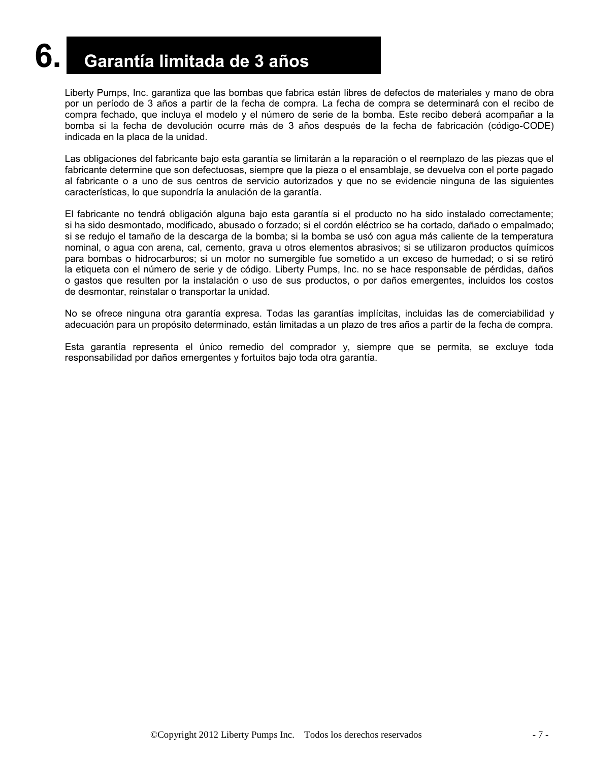## **6. Garantía limitada de 3 años**

Liberty Pumps, Inc. garantiza que las bombas que fabrica están libres de defectos de materiales y mano de obra por un período de 3 años a partir de la fecha de compra. La fecha de compra se determinará con el recibo de compra fechado, que incluya el modelo y el número de serie de la bomba. Este recibo deberá acompañar a la bomba si la fecha de devolución ocurre más de 3 años después de la fecha de fabricación (código-CODE) indicada en la placa de la unidad.

Las obligaciones del fabricante bajo esta garantía se limitarán a la reparación o el reemplazo de las piezas que el fabricante determine que son defectuosas, siempre que la pieza o el ensamblaje, se devuelva con el porte pagado al fabricante o a uno de sus centros de servicio autorizados y que no se evidencie ninguna de las siguientes características, lo que supondría la anulación de la garantía.

El fabricante no tendrá obligación alguna bajo esta garantía si el producto no ha sido instalado correctamente; si ha sido desmontado, modificado, abusado o forzado; si el cordón eléctrico se ha cortado, dañado o empalmado; si se redujo el tamaño de la descarga de la bomba; si la bomba se usó con agua más caliente de la temperatura nominal, o agua con arena, cal, cemento, grava u otros elementos abrasivos; si se utilizaron productos químicos para bombas o hidrocarburos; si un motor no sumergible fue sometido a un exceso de humedad; o si se retiró la etiqueta con el número de serie y de código. Liberty Pumps, Inc. no se hace responsable de pérdidas, daños o gastos que resulten por la instalación o uso de sus productos, o por daños emergentes, incluidos los costos de desmontar, reinstalar o transportar la unidad.

No se ofrece ninguna otra garantía expresa. Todas las garantías implícitas, incluidas las de comerciabilidad y adecuación para un propósito determinado, están limitadas a un plazo de tres años a partir de la fecha de compra.

Esta garantía representa el único remedio del comprador y, siempre que se permita, se excluye toda responsabilidad por daños emergentes y fortuitos bajo toda otra garantía.